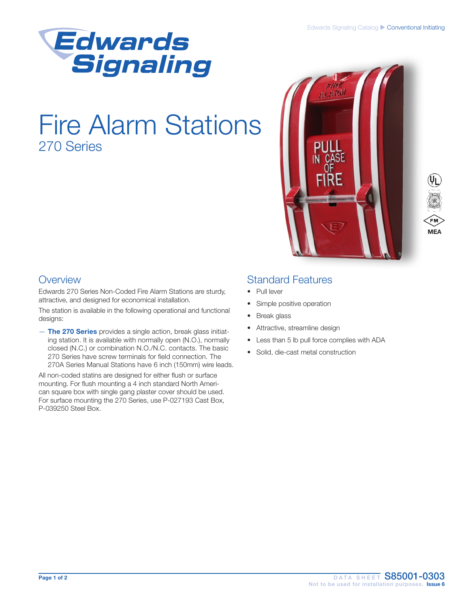

# Fire Alarm Stations 270 Series





### **Overview**

Edwards 270 Series Non-Coded Fire Alarm Stations are sturdy, attractive, and designed for economical installation.

The station is available in the following operational and functional designs:

- The 270 Series provides a single action, break glass initiating station. It is available with normally open (N.O.), normally closed (N.C.) or combination N.O./N.C. contacts. The basic 270 Series have screw terminals for field connection. The 270A Series Manual Stations have 6 inch (150mm) wire leads.

All non-coded statins are designed for either flush or surface mounting. For flush mounting a 4 inch standard North American square box with single gang plaster cover should be used. For surface mounting the 270 Series, use P-027193 Cast Box, P-039250 Steel Box.

## Standard Features

- Pull lever
- Simple positive operation
- Break glass
- Attractive, streamline design
- Less than 5 lb pull force complies with ADA
- Solid, die-cast metal construction